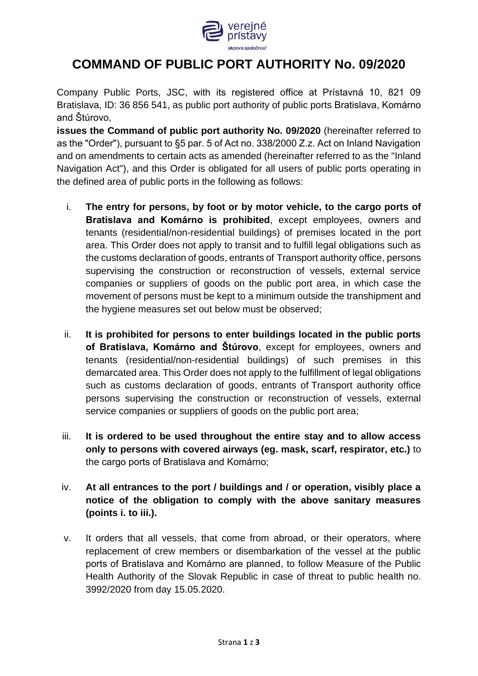

## **COMMAND OF PUBLIC PORT AUTHORITY No. 09/2020**

Company Public Ports, JSC, with its registered office at Prístavná 10, 821 09 Bratislava, ID: 36 856 541, as public port authority of public ports Bratislava, Komárno and Štúrovo,

**issues the Command of public port authority No. 09/2020** (hereinafter referred to as the "Order"), pursuant to §5 par. 5 of Act no. 338/2000 Z.z. Act on Inland Navigation and on amendments to certain acts as amended (hereinafter referred to as the "Inland Navigation Act"), and this Order is obligated for all users of public ports operating in the defined area of public ports in the following as follows:

- i. **The entry for persons, by foot or by motor vehicle, to the cargo ports of Bratislava and Komárno is prohibited**, except employees, owners and tenants (residential/non-residential buildings) of premises located in the port area. This Order does not apply to transit and to fulfill legal obligations such as the customs declaration of goods, entrants of Transport authority office, persons supervising the construction or reconstruction of vessels, external service companies or suppliers of goods on the public port area, in which case the movement of persons must be kept to a minimum outside the transhipment and the hygiene measures set out below must be observed;
- ii. **It is prohibited for persons to enter buildings located in the public ports of Bratislava, Komárno and Štúrovo**, except for employees, owners and tenants (residential/non-residential buildings) of such premises in this demarcated area. This Order does not apply to the fulfillment of legal obligations such as customs declaration of goods, entrants of Transport authority office persons supervising the construction or reconstruction of vessels, external service companies or suppliers of goods on the public port area;
- iii. **It is ordered to be used throughout the entire stay and to allow access only to persons with covered airways (eg. mask, scarf, respirator, etc.)** to the cargo ports of Bratislava and Komárno;
- iv. **At all entrances to the port / buildings and / or operation, visibly place a notice of the obligation to comply with the above sanitary measures (points i. to iii.).**
- v. It orders that all vessels, that come from abroad, or their operators, where replacement of crew members or disembarkation of the vessel at the public ports of Bratislava and Komárno are planned, to follow Measure of the Public Health Authority of the Slovak Republic in case of threat to public health no. 3992/2020 from day 15.05.2020.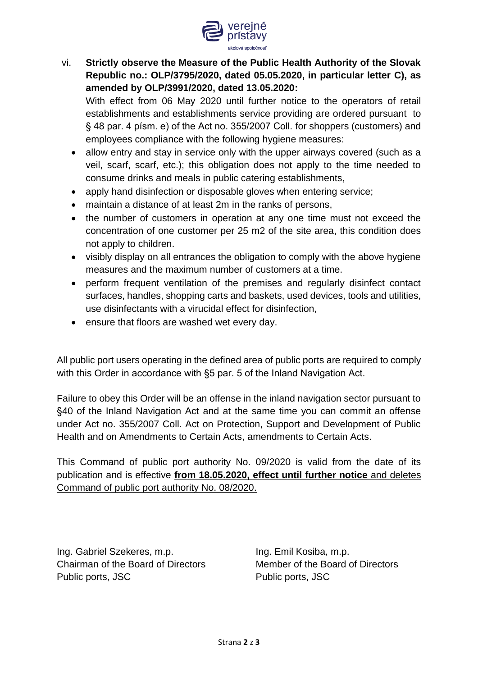

vi. **Strictly observe the Measure of the Public Health Authority of the Slovak Republic no.: OLP/3795/2020, dated 05.05.2020, in particular letter C), as amended by OLP/3991/2020, dated 13.05.2020:**

With effect from 06 May 2020 until further notice to the operators of retail establishments and establishments service providing are ordered pursuant to § 48 par. 4 písm. e) of the Act no. 355/2007 Coll. for shoppers (customers) and employees compliance with the following hygiene measures:

- allow entry and stay in service only with the upper airways covered (such as a veil, scarf, scarf, etc.); this obligation does not apply to the time needed to consume drinks and meals in public catering establishments,
- apply hand disinfection or disposable gloves when entering service;
- maintain a distance of at least 2m in the ranks of persons,
- the number of customers in operation at any one time must not exceed the concentration of one customer per 25 m2 of the site area, this condition does not apply to children.
- visibly display on all entrances the obligation to comply with the above hygiene measures and the maximum number of customers at a time.
- perform frequent ventilation of the premises and regularly disinfect contact surfaces, handles, shopping carts and baskets, used devices, tools and utilities, use disinfectants with a virucidal effect for disinfection,
- ensure that floors are washed wet every day.

All public port users operating in the defined area of public ports are required to comply with this Order in accordance with §5 par. 5 of the Inland Navigation Act.

Failure to obey this Order will be an offense in the inland navigation sector pursuant to §40 of the Inland Navigation Act and at the same time you can commit an offense under Act no. 355/2007 Coll. Act on Protection, Support and Development of Public Health and on Amendments to Certain Acts, amendments to Certain Acts.

This Command of public port authority No. 09/2020 is valid from the date of its publication and is effective **from 18.05.2020, effect until further notice** and deletes Command of public port authority No. 08/2020.

Ing. Gabriel Szekeres, m.p. Ing. Emil Kosiba, m.p. Chairman of the Board of Directors Member of the Board of Directors Public ports, JSC Public ports, JSC